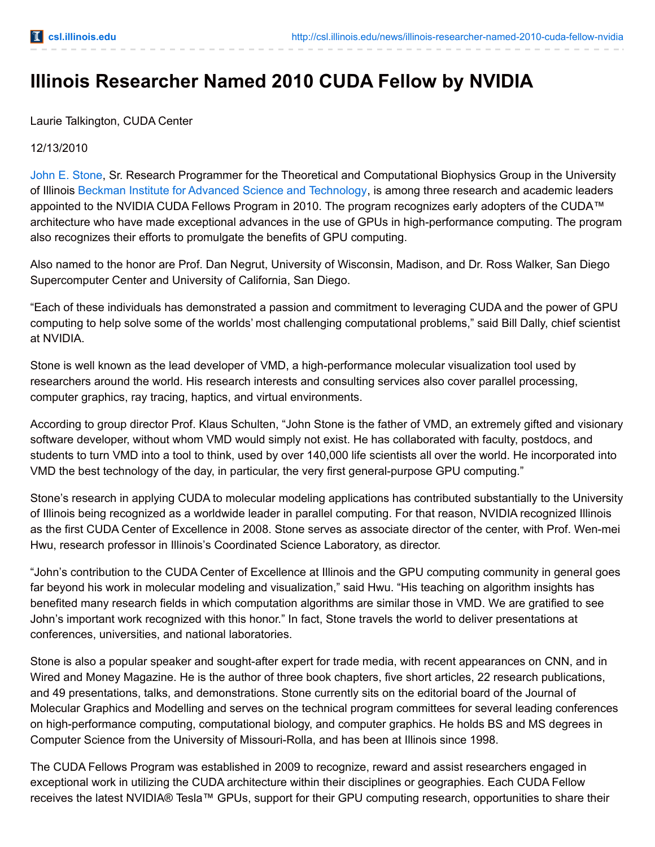## **Illinois Researcher Named 2010 CUDA Fellow by NVIDIA**

Laurie Talkington, CUDA Center

## 12/13/2010

John E. [Stone,](http://www.ks.uiuc.edu/~johns/) Sr. Research Programmer for the Theoretical and Computational Biophysics Group in the University of Illinois Beckman Institute for Advanced Science and [Technology](http://beckman.illinois.edu/), is among three research and academic leaders appointed to the NVIDIA CUDA Fellows Program in 2010. The program recognizes early adopters of the CUDA™ architecture who have made exceptional advances in the use of GPUs in high-performance computing. The program also recognizes their efforts to promulgate the benefits of GPU computing.

Also named to the honor are Prof. Dan Negrut, University of Wisconsin, Madison, and Dr. Ross Walker, San Diego Supercomputer Center and University of California, San Diego.

"Each of these individuals has demonstrated a passion and commitment to leveraging CUDA and the power of GPU computing to help solve some of the worlds' most challenging computational problems," said Bill Dally, chief scientist at NVIDIA.

Stone is well known as the lead developer of VMD, a high-performance molecular visualization tool used by researchers around the world. His research interests and consulting services also cover parallel processing, computer graphics, ray tracing, haptics, and virtual environments.

According to group director Prof. Klaus Schulten, "John Stone is the father of VMD, an extremely gifted and visionary software developer, without whom VMD would simply not exist. He has collaborated with faculty, postdocs, and students to turn VMD into a tool to think, used by over 140,000 life scientists all over the world. He incorporated into VMD the best technology of the day, in particular, the very first general-purpose GPU computing."

Stone's research in applying CUDA to molecular modeling applications has contributed substantially to the University of Illinois being recognized as a worldwide leader in parallel computing. For that reason, NVIDIA recognized Illinois as the first CUDA Center of Excellence in 2008. Stone serves as associate director of the center, with Prof. Wen-mei Hwu, research professor in Illinois's Coordinated Science Laboratory, as director.

"John's contribution to the CUDA Center of Excellence at Illinois and the GPU computing community in general goes far beyond his work in molecular modeling and visualization," said Hwu. "His teaching on algorithm insights has benefited many research fields in which computation algorithms are similar those in VMD. We are gratified to see John's important work recognized with this honor." In fact, Stone travels the world to deliver presentations at conferences, universities, and national laboratories.

Stone is also a popular speaker and sought-after expert for trade media, with recent appearances on CNN, and in Wired and Money Magazine. He is the author of three book chapters, five short articles, 22 research publications, and 49 presentations, talks, and demonstrations. Stone currently sits on the editorial board of the Journal of Molecular Graphics and Modelling and serves on the technical program committees for several leading conferences on high-performance computing, computational biology, and computer graphics. He holds BS and MS degrees in Computer Science from the University of Missouri-Rolla, and has been at Illinois since 1998.

The CUDA Fellows Program was established in 2009 to recognize, reward and assist researchers engaged in exceptional work in utilizing the CUDA architecture within their disciplines or geographies. Each CUDA Fellow receives the latest NVIDIA® Tesla™ GPUs, support for their GPU computing research, opportunities to share their